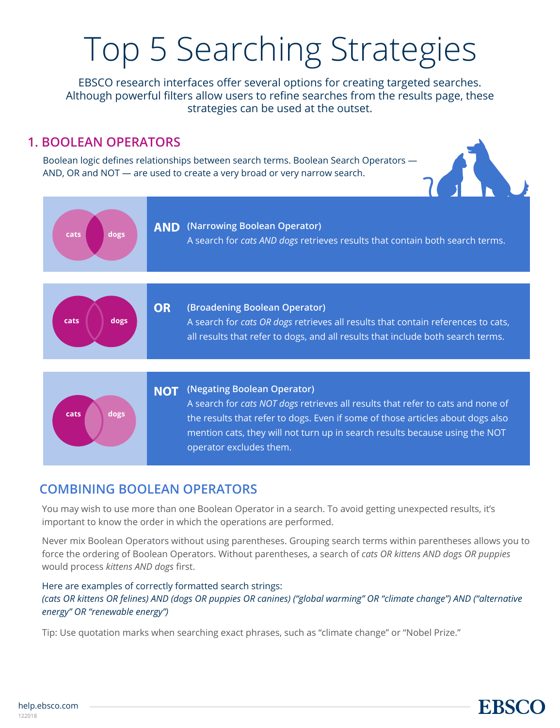# Top 5 Searching Strategies

EBSCO research interfaces offer several options for creating targeted searches. Although powerful filters allow users to refine searches from the results page, these strategies can be used at the outset.

## **1. BOOLEAN OPERATORS**

Boolean logic defines relationships between search terms. Boolean Search Operators — AND, OR and NOT — are used to create a very broad or very narrow search.



**EBSCC** 



## **COMBINING BOOLEAN OPERATORS**

You may wish to use more than one Boolean Operator in a search. To avoid getting unexpected results, it's important to know the order in which the operations are performed.

Never mix Boolean Operators without using parentheses. Grouping search terms within parentheses allows you to force the ordering of Boolean Operators. Without parentheses, a search of *cats OR kittens AND dogs OR puppies* would process *kittens AND dogs* first.

#### Here are examples of correctly formatted search strings: *(cats OR kittens OR felines) AND (dogs OR puppies OR canines) ("global warming" OR "climate change") AND ("alternative energy" OR "renewable energy")*

Tip: Use quotation marks when searching exact phrases, such as "climate change" or "Nobel Prize."